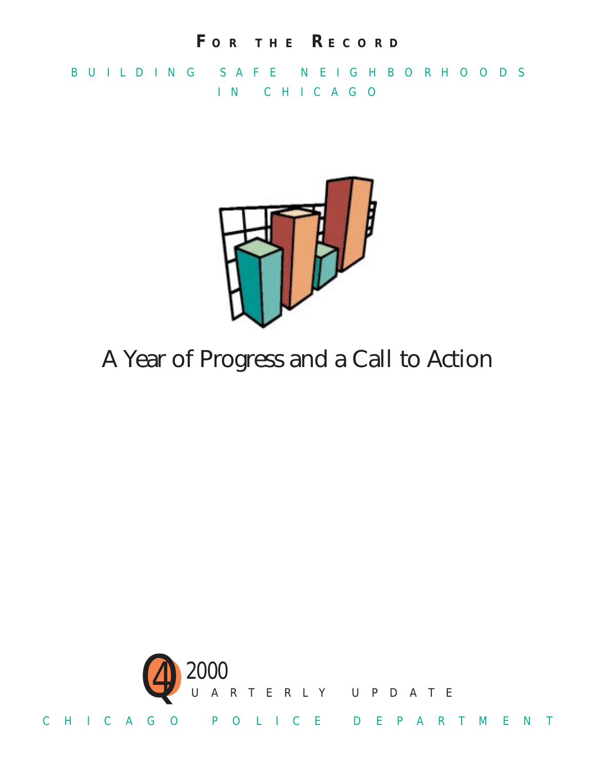#### *F OR THE R ECORD*

*BUILDING SAFE NEIGHBORHOODS IN CHICAGO*



### A Year of Progress and a Call to Action

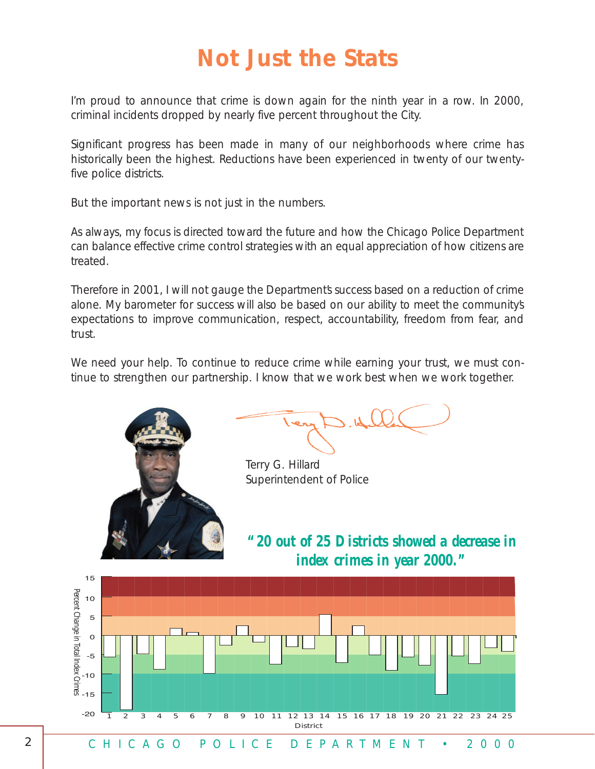#### *Not Just the Stats*

*I'm proud to announce that crime is down again for the ninth year in a row. In 2000, criminal incidents dropped by nearly five percent throughout the City.*

*Significant progress has been made in many of our neighborhoods where crime has historically been the highest. Reductions have been experienced in twenty of our twentyfive police districts.*

*But the important news is not just in the numbers.*

*As always, my focus is directed toward the future and how the Chicago Police Department can balance effective crime control strategies with an equal appreciation of how citizens are treated.* 

*Therefore in 2001, I will not gauge the Department's success based on a reduction of crime alone. My barometer for success will also be based on our ability to meet the community's expectations to improve communication, respect, accountability, freedom from fear, and trust.* 

*We need your help. To continue to reduce crime while earning your trust, we must con*tinue to strengthen our partnership. I know that we work best when we work together.



*Terry G. Hillard Superintendent of Police*

*"20 out of 25 Districts showed a decrease in index crimes in year 2000."*

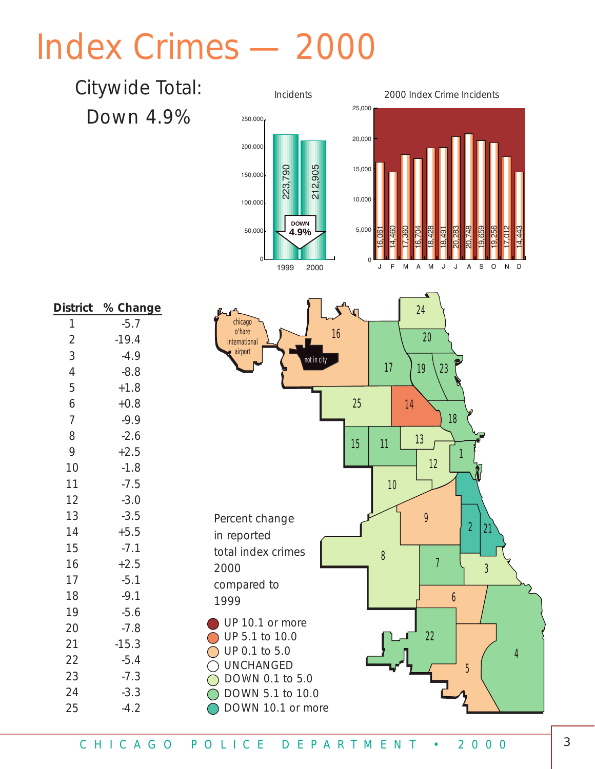# *Index Crimes — 2000*

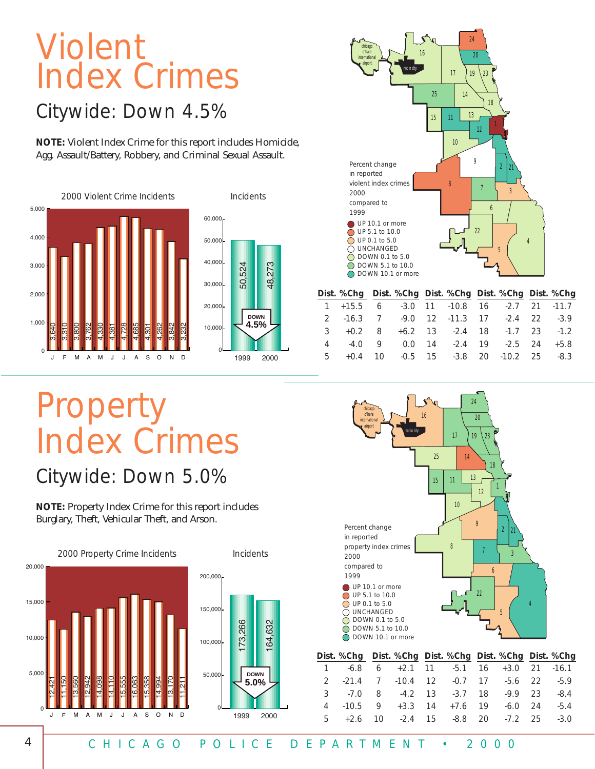# *Violent Index Crimes*

#### *Citywide: Down 4.5%*

**NOTE:** Violent Index Crime for this report includes Homicide, Agg. Assault/Battery, Robbery, and Criminal Sexual Assault.







| Dist. %Chg Dist. %Chg Dist. %Chg Dist. %Chg Dist. %Chg |  |  |  |  |
|--------------------------------------------------------|--|--|--|--|
| 1 +15.5 6 -3.0 11 -10.8 16 -2.7 21 -11.7               |  |  |  |  |
| 2 -16.3 7 -9.0 12 -11.3 17 -2.4 22 -3.9                |  |  |  |  |
| $3 + 0.2 + 6.2 + 6.2 + 13 - 2.4 + 18 - 1.7 + 23 - 1.2$ |  |  |  |  |
| 4 -4.0 9 0.0 14 -2.4 19 -2.5 24 +5.8                   |  |  |  |  |
| 5 +0.4 10 -0.5 15 -3.8 20 -10.2 25 -8.3                |  |  |  |  |
|                                                        |  |  |  |  |

# *Property Index Crimes*

*Citywide: Down 5.0%*

**NOTE:** Property Index Crime for this report includes Burglary, Theft, Vehicular Theft, and Arson.







*15 -8.8*

*20 -7.2*

*25 -3.0*

4 *CHICAGO POLICE DEPARTMENT • 2000*

*5 +2.6*

*10 -2.4*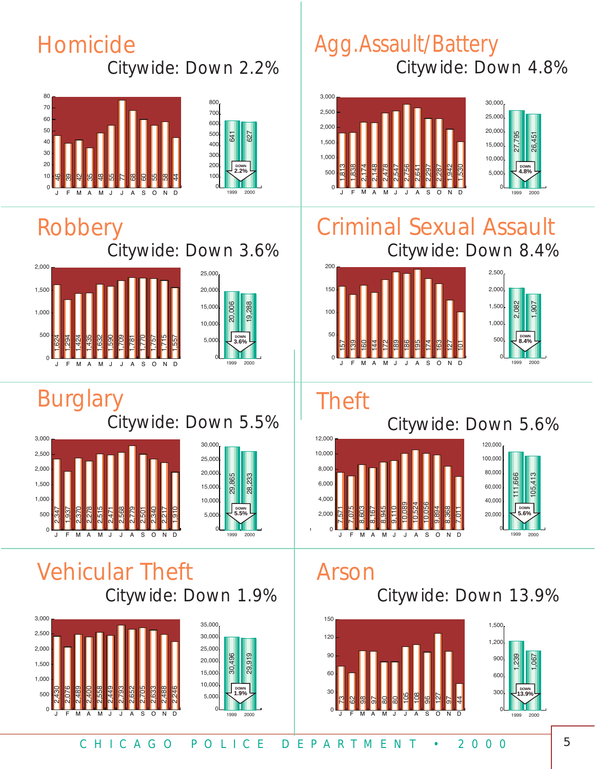#### *Homicide Citywide: Down 2.2%*





#### *Robbery*

*Citywide: Down 3.6%*





#### *Burglary Citywide: Down 5.5%*





#### *Vehicular Theft Citywide: Down 1.9%*





#### *Agg.Assault/Battery Citywide: Down 4.8%*



#### *Criminal Sexual Assault Citywide: Down 8.4%*





#### *Theft*





#### *Arson*

*Citywide: Down 13.9%*



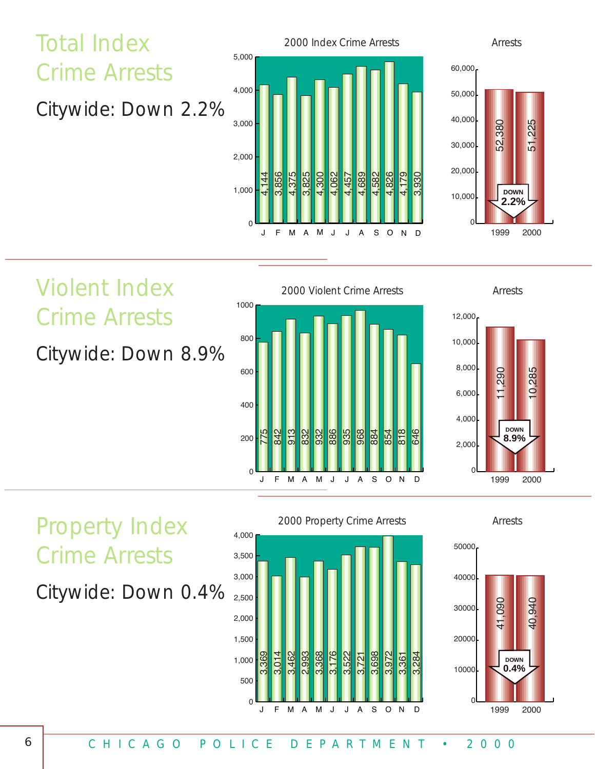



*Property Index Crime Arrests*

*Citywide: Down 0.4%* 





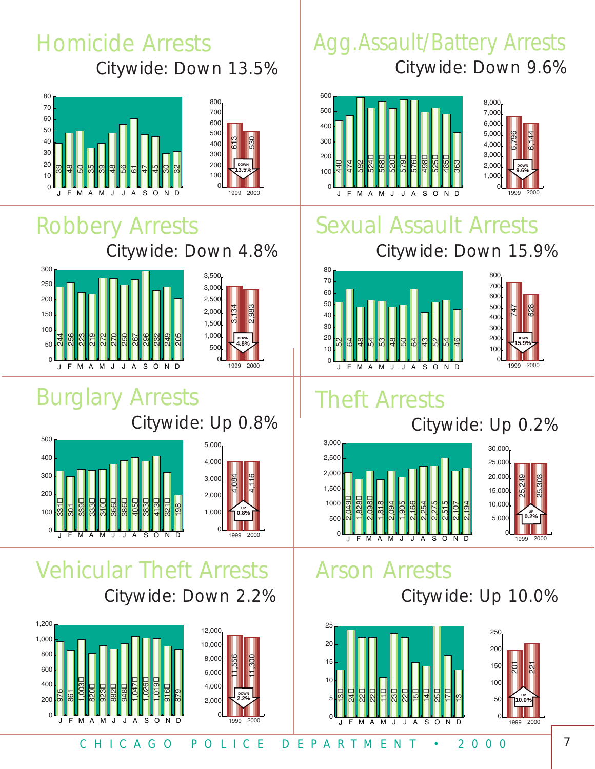#### *Homicide Arrests Citywide: Down 13.5%*





#### *Robbery Arrests Citywide: Down 4.8%*



#### *Burglary Arrests Citywide: Up 0.8%*





 

3,134 2,983

> **DOWN 4.8%**

## *Vehicular Theft Arrests*

*Citywide: Down 2.2%*





#### *Agg.Assault/Battery Arrests Citywide: Down 9.6%*





#### *Sexual Assault Arrests Citywide: Down 15.9%*





## *Theft Arrests*

#### 1,500 2,000 2,500 3,000 2,049 1,828 2,098 1,818 2,094 1,905 2,166 2,254 2,275 2,515 2,107 2,194 J F M AMJ JA SOND 1999 2000



# *Arson Arrests*

*Citywide: Up 10.0%*

*Citywide: Up 0.2%*



<u>त्र</u>